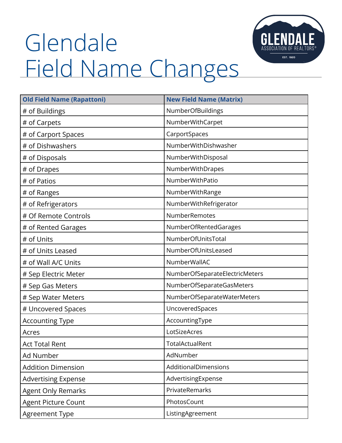## Glendale Field Name Changes



| <b>Old Field Name (Rapattoni)</b> | <b>New Field Name (Matrix)</b> |
|-----------------------------------|--------------------------------|
| # of Buildings                    | NumberOfBuildings              |
| # of Carpets                      | NumberWithCarpet               |
| # of Carport Spaces               | CarportSpaces                  |
| # of Dishwashers                  | NumberWithDishwasher           |
| # of Disposals                    | NumberWithDisposal             |
| # of Drapes                       | NumberWithDrapes               |
| # of Patios                       | NumberWithPatio                |
| # of Ranges                       | NumberWithRange                |
| # of Refrigerators                | NumberWithRefrigerator         |
| # Of Remote Controls              | NumberRemotes                  |
| # of Rented Garages               | <b>NumberOfRentedGarages</b>   |
| # of Units                        | NumberOfUnitsTotal             |
| # of Units Leased                 | NumberOfUnitsLeased            |
| # of Wall A/C Units               | NumberWallAC                   |
| # Sep Electric Meter              | NumberOfSeparateElectricMeters |
| # Sep Gas Meters                  | NumberOfSeparateGasMeters      |
| # Sep Water Meters                | NumberOfSeparateWaterMeters    |
| # Uncovered Spaces                | UncoveredSpaces                |
| <b>Accounting Type</b>            | AccountingType                 |
| Acres                             | LotSizeAcres                   |
| <b>Act Total Rent</b>             | TotalActualRent                |
| Ad Number                         | AdNumber                       |
| <b>Addition Dimension</b>         | AdditionalDimensions           |
| <b>Advertising Expense</b>        | AdvertisingExpense             |
| <b>Agent Only Remarks</b>         | PrivateRemarks                 |
| Agent Picture Count               | PhotosCount                    |
| Agreement Type                    | ListingAgreement               |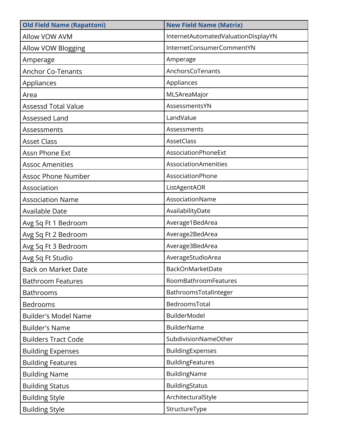| <b>Old Field Name (Rapattoni)</b> | <b>New Field Name (Matrix)</b>      |
|-----------------------------------|-------------------------------------|
| <b>Allow VOW AVM</b>              | InternetAutomatedValuationDisplayYN |
| Allow VOW Blogging                | InternetConsumerCommentYN           |
| Amperage                          | Amperage                            |
| <b>Anchor Co-Tenants</b>          | AnchorsCoTenants                    |
| Appliances                        | Appliances                          |
| Area                              | MLSAreaMajor                        |
| <b>Assessd Total Value</b>        | AssessmentsYN                       |
| Assessed Land                     | LandValue                           |
| Assessments                       | Assessments                         |
| <b>Asset Class</b>                | <b>AssetClass</b>                   |
| Assn Phone Ext                    | AssociationPhoneExt                 |
| <b>Assoc Amenities</b>            | AssociationAmenities                |
| <b>Assoc Phone Number</b>         | AssociationPhone                    |
| Association                       | ListAgentAOR                        |
| <b>Association Name</b>           | AssociationName                     |
| <b>Available Date</b>             | AvailabilityDate                    |
| Avg Sq Ft 1 Bedroom               | Average1BedArea                     |
| Avg Sq Ft 2 Bedroom               | Average2BedArea                     |
| Avg Sq Ft 3 Bedroom               | Average3BedArea                     |
| Avg Sq Ft Studio                  | AverageStudioArea                   |
| Back on Market Date               | BackOnMarketDate                    |
| <b>Bathroom Features</b>          | RoomBathroomFeatures                |
| <b>Bathrooms</b>                  | BathroomsTotalInteger               |
| <b>Bedrooms</b>                   | BedroomsTotal                       |
| <b>Builder's Model Name</b>       | <b>BuilderModel</b>                 |
| <b>Builder's Name</b>             | <b>BuilderName</b>                  |
| <b>Builders Tract Code</b>        | SubdivisionNameOther                |
| <b>Building Expenses</b>          | BuildingExpenses                    |
| <b>Building Features</b>          | <b>BuildingFeatures</b>             |
| <b>Building Name</b>              | BuildingName                        |
| <b>Building Status</b>            | <b>BuildingStatus</b>               |
| <b>Building Style</b>             | ArchitecturalStyle                  |
| <b>Building Style</b>             | StructureType                       |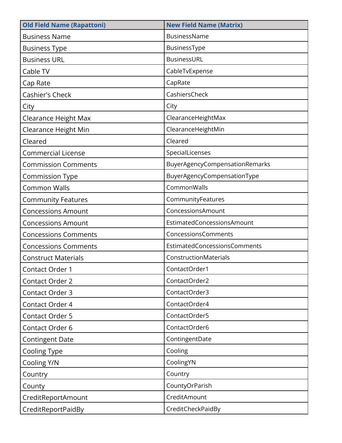| <b>Old Field Name (Rapattoni)</b> | <b>New Field Name (Matrix)</b> |
|-----------------------------------|--------------------------------|
| <b>Business Name</b>              | BusinessName                   |
| <b>Business Type</b>              | BusinessType                   |
| <b>Business URL</b>               | BusinessURL                    |
| Cable TV                          | CableTvExpense                 |
| Cap Rate                          | CapRate                        |
| Cashier's Check                   | CashiersCheck                  |
| City                              | City                           |
| Clearance Height Max              | ClearanceHeightMax             |
| Clearance Height Min              | ClearanceHeightMin             |
| Cleared                           | Cleared                        |
| <b>Commercial License</b>         | SpecialLicenses                |
| <b>Commission Comments</b>        | BuyerAgencyCompensationRemarks |
| Commission Type                   | BuyerAgencyCompensationType    |
| <b>Common Walls</b>               | CommonWalls                    |
| <b>Community Features</b>         | CommunityFeatures              |
| <b>Concessions Amount</b>         | ConcessionsAmount              |
| <b>Concessions Amount</b>         | EstimatedConcessionsAmount     |
| <b>Concessions Comments</b>       | ConcessionsComments            |
| <b>Concessions Comments</b>       | EstimatedConcessionsComments   |
| <b>Construct Materials</b>        | ConstructionMaterials          |
| Contact Order 1                   | ContactOrder1                  |
| Contact Order 2                   | ContactOrder2                  |
| Contact Order 3                   | ContactOrder3                  |
| Contact Order 4                   | ContactOrder4                  |
| Contact Order 5                   | ContactOrder5                  |
| Contact Order 6                   | ContactOrder6                  |
| <b>Contingent Date</b>            | ContingentDate                 |
| Cooling Type                      | Cooling                        |
| Cooling Y/N                       | CoolingYN                      |
| Country                           | Country                        |
| County                            | CountyOrParish                 |
| CreditReportAmount                | CreditAmount                   |
| CreditReportPaidBy                | CreditCheckPaidBy              |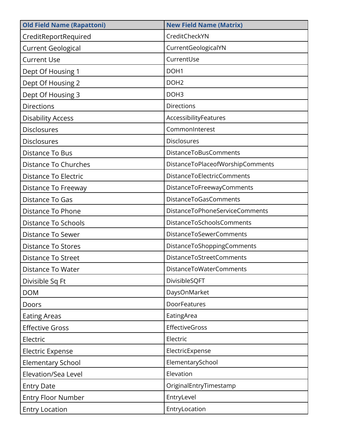| <b>Old Field Name (Rapattoni)</b> | <b>New Field Name (Matrix)</b>        |
|-----------------------------------|---------------------------------------|
| CreditReportRequired              | CreditCheckYN                         |
| <b>Current Geological</b>         | CurrentGeologicalYN                   |
| <b>Current Use</b>                | CurrentUse                            |
| Dept Of Housing 1                 | DOH <sub>1</sub>                      |
| Dept Of Housing 2                 | DOH <sub>2</sub>                      |
| Dept Of Housing 3                 | DOH <sub>3</sub>                      |
| <b>Directions</b>                 | <b>Directions</b>                     |
| <b>Disability Access</b>          | AccessibilityFeatures                 |
| <b>Disclosures</b>                | CommonInterest                        |
| <b>Disclosures</b>                | <b>Disclosures</b>                    |
| Distance To Bus                   | <b>DistanceToBusComments</b>          |
| Distance To Churches              | DistanceToPlaceofWorshipComments      |
| Distance To Electric              | DistanceToElectricComments            |
| Distance To Freeway               | DistanceToFreewayComments             |
| Distance To Gas                   | DistanceToGasComments                 |
| Distance To Phone                 | <b>DistanceToPhoneServiceComments</b> |
| Distance To Schools               | DistanceToSchoolsComments             |
| <b>Distance To Sewer</b>          | <b>DistanceToSewerComments</b>        |
| <b>Distance To Stores</b>         | DistanceToShoppingComments            |
| <b>Distance To Street</b>         | DistanceToStreetComments              |
| Distance To Water                 | DistanceToWaterComments               |
| Divisible Sq Ft                   | DivisibleSQFT                         |
| <b>DOM</b>                        | DaysOnMarket                          |
| Doors                             | DoorFeatures                          |
| <b>Eating Areas</b>               | EatingArea                            |
| <b>Effective Gross</b>            | <b>EffectiveGross</b>                 |
| Electric                          | Electric                              |
| <b>Electric Expense</b>           | ElectricExpense                       |
| <b>Elementary School</b>          | ElementarySchool                      |
| Elevation/Sea Level               | Elevation                             |
| <b>Entry Date</b>                 | OriginalEntryTimestamp                |
| <b>Entry Floor Number</b>         | EntryLevel                            |
| <b>Entry Location</b>             | EntryLocation                         |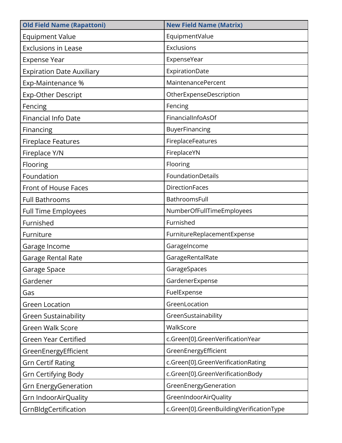| <b>Old Field Name (Rapattoni)</b> | <b>New Field Name (Matrix)</b>           |
|-----------------------------------|------------------------------------------|
| <b>Equipment Value</b>            | EquipmentValue                           |
| <b>Exclusions in Lease</b>        | Exclusions                               |
| <b>Expense Year</b>               | ExpenseYear                              |
| <b>Expiration Date Auxiliary</b>  | ExpirationDate                           |
| Exp-Maintenance %                 | MaintenancePercent                       |
| Exp-Other Descript                | OtherExpenseDescription                  |
| Fencing                           | Fencing                                  |
| <b>Financial Info Date</b>        | FinancialInfoAsOf                        |
| Financing                         | BuyerFinancing                           |
| <b>Fireplace Features</b>         | FireplaceFeatures                        |
| Fireplace Y/N                     | FireplaceYN                              |
| Flooring                          | Flooring                                 |
| Foundation                        | FoundationDetails                        |
| Front of House Faces              | <b>DirectionFaces</b>                    |
| <b>Full Bathrooms</b>             | BathroomsFull                            |
| <b>Full Time Employees</b>        | NumberOfFullTimeEmployees                |
| Furnished                         | Furnished                                |
| Furniture                         | FurnitureReplacementExpense              |
| Garage Income                     | GarageIncome                             |
| Garage Rental Rate                | GarageRentalRate                         |
| Garage Space                      | GarageSpaces                             |
| Gardener                          | GardenerExpense                          |
| Gas                               | FuelExpense                              |
| <b>Green Location</b>             | GreenLocation                            |
| <b>Green Sustainability</b>       | GreenSustainability                      |
| <b>Green Walk Score</b>           | WalkScore                                |
| <b>Green Year Certified</b>       | c.Green[0].GreenVerificationYear         |
| GreenEnergyEfficient              | GreenEnergyEfficient                     |
| <b>Grn Certif Rating</b>          | c.Green[0].GreenVerificationRating       |
| <b>Grn Certifying Body</b>        | c.Green[0].GreenVerificationBody         |
| <b>Grn EnergyGeneration</b>       | GreenEnergyGeneration                    |
| Grn IndoorAirQuality              | GreenIndoorAirQuality                    |
| GrnBldgCertification              | c.Green[0].GreenBuildingVerificationType |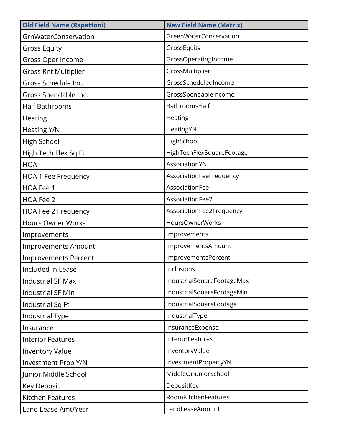| <b>Old Field Name (Rapattoni)</b> | <b>New Field Name (Matrix)</b> |
|-----------------------------------|--------------------------------|
| GrnWaterConservation              | GreenWaterConservation         |
| <b>Gross Equity</b>               | GrossEquity                    |
| Gross Oper Income                 | GrossOperatingIncome           |
| <b>Gross Rnt Multiplier</b>       | GrossMultiplier                |
| Gross Schedule Inc.               | GrossScheduledIncome           |
| Gross Spendable Inc.              | GrossSpendableIncome           |
| <b>Half Bathrooms</b>             | BathroomsHalf                  |
| <b>Heating</b>                    | Heating                        |
| Heating Y/N                       | HeatingYN                      |
| High School                       | HighSchool                     |
| High Tech Flex Sq Ft              | HighTechFlexSquareFootage      |
| <b>HOA</b>                        | AssociationYN                  |
| <b>HOA 1 Fee Frequency</b>        | AssociationFeeFrequency        |
| HOA Fee 1                         | AssociationFee                 |
| HOA Fee 2                         | AssociationFee2                |
| HOA Fee 2 Frequency               | AssociationFee2Frequency       |
| <b>Hours Owner Works</b>          | <b>HoursOwnerWorks</b>         |
| Improvements                      | Improvements                   |
| <b>Improvements Amount</b>        | ImprovementsAmount             |
| <b>Improvements Percent</b>       | ImprovementsPercent            |
| Included in Lease                 | Inclusions                     |
| <b>Industrial SF Max</b>          | IndustrialSquareFootageMax     |
| Industrial SF Min                 | IndustrialSquareFootageMin     |
| Industrial Sq Ft                  | IndustrialSquareFootage        |
| <b>Industrial Type</b>            | IndustrialType                 |
| Insurance                         | InsuranceExpense               |
| <b>Interior Features</b>          | InteriorFeatures               |
| <b>Inventory Value</b>            | InventoryValue                 |
| Investment Prop Y/N               | InvestmentPropertyYN           |
| Junior Middle School              | MiddleOrJuniorSchool           |
| Key Deposit                       | DepositKey                     |
| Kitchen Features                  | RoomKitchenFeatures            |
| Land Lease Amt/Year               | LandLeaseAmount                |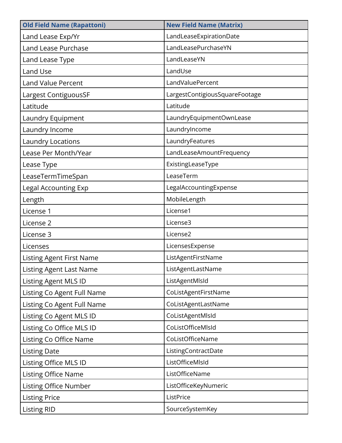| <b>Old Field Name (Rapattoni)</b> | <b>New Field Name (Matrix)</b> |
|-----------------------------------|--------------------------------|
| Land Lease Exp/Yr                 | LandLeaseExpirationDate        |
| <b>Land Lease Purchase</b>        | LandLeasePurchaseYN            |
| Land Lease Type                   | LandLeaseYN                    |
| Land Use                          | LandUse                        |
| <b>Land Value Percent</b>         | LandValuePercent               |
| Largest ContiguousSF              | LargestContigiousSquareFootage |
| Latitude                          | Latitude                       |
| Laundry Equipment                 | LaundryEquipmentOwnLease       |
| Laundry Income                    | LaundryIncome                  |
| <b>Laundry Locations</b>          | LaundryFeatures                |
| Lease Per Month/Year              | LandLeaseAmountFrequency       |
| Lease Type                        | ExistingLeaseType              |
| LeaseTermTimeSpan                 | LeaseTerm                      |
| <b>Legal Accounting Exp</b>       | LegalAccountingExpense         |
| Length                            | MobileLength                   |
| License 1                         | License1                       |
| License 2                         | License3                       |
| License 3                         | License2                       |
| Licenses                          | LicensesExpense                |
| <b>Listing Agent First Name</b>   | ListAgentFirstName             |
| <b>Listing Agent Last Name</b>    | ListAgentLastName              |
| <b>Listing Agent MLS ID</b>       | ListAgentMlsId                 |
| Listing Co Agent Full Name        | CoListAgentFirstName           |
| Listing Co Agent Full Name        | CoListAgentLastName            |
| Listing Co Agent MLS ID           | CoListAgentMIsId               |
| Listing Co Office MLS ID          | CoListOfficeMlsId              |
| Listing Co Office Name            | CoListOfficeName               |
| <b>Listing Date</b>               | ListingContractDate            |
| Listing Office MLS ID             | ListOfficeMlsId                |
| Listing Office Name               | ListOfficeName                 |
| Listing Office Number             | ListOfficeKeyNumeric           |
| <b>Listing Price</b>              | ListPrice                      |
| <b>Listing RID</b>                | SourceSystemKey                |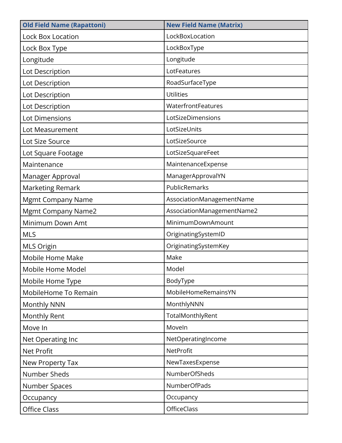| <b>Old Field Name (Rapattoni)</b> | <b>New Field Name (Matrix)</b> |
|-----------------------------------|--------------------------------|
| <b>Lock Box Location</b>          | LockBoxLocation                |
| Lock Box Type                     | LockBoxType                    |
| Longitude                         | Longitude                      |
| Lot Description                   | LotFeatures                    |
| Lot Description                   | RoadSurfaceType                |
| Lot Description                   | <b>Utilities</b>               |
| Lot Description                   | WaterfrontFeatures             |
| Lot Dimensions                    | LotSizeDimensions              |
| Lot Measurement                   | LotSizeUnits                   |
| Lot Size Source                   | LotSizeSource                  |
| Lot Square Footage                | LotSizeSquareFeet              |
| Maintenance                       | MaintenanceExpense             |
| Manager Approval                  | ManagerApprovalYN              |
| Marketing Remark                  | PublicRemarks                  |
| <b>Mgmt Company Name</b>          | AssociationManagementName      |
| <b>Mgmt Company Name2</b>         | AssociationManagementName2     |
| Minimum Down Amt                  | MinimumDownAmount              |
| <b>MLS</b>                        | OriginatingSystemID            |
| <b>MLS Origin</b>                 | OriginatingSystemKey           |
| Mobile Home Make                  | Make                           |
| Mobile Home Model                 | Model                          |
| Mobile Home Type                  | BodyType                       |
| MobileHome To Remain              | MobileHomeRemainsYN            |
| Monthly NNN                       | MonthlyNNN                     |
| Monthly Rent                      | TotalMonthlyRent               |
| Move In                           | Moveln                         |
| Net Operating Inc                 | NetOperatingIncome             |
| <b>Net Profit</b>                 | NetProfit                      |
| New Property Tax                  | NewTaxesExpense                |
| Number Sheds                      | NumberOfSheds                  |
| Number Spaces                     | NumberOfPads                   |
| Occupancy                         | Occupancy                      |
| Office Class                      | <b>OfficeClass</b>             |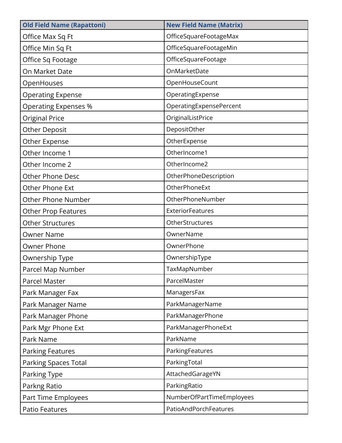| <b>Old Field Name (Rapattoni)</b> | <b>New Field Name (Matrix)</b> |
|-----------------------------------|--------------------------------|
| Office Max Sq Ft                  | OfficeSquareFootageMax         |
| Office Min Sq Ft                  | OfficeSquareFootageMin         |
| Office Sq Footage                 | OfficeSquareFootage            |
| On Market Date                    | OnMarketDate                   |
| OpenHouses                        | OpenHouseCount                 |
| <b>Operating Expense</b>          | OperatingExpense               |
| <b>Operating Expenses %</b>       | OperatingExpensePercent        |
| <b>Original Price</b>             | OriginalListPrice              |
| <b>Other Deposit</b>              | DepositOther                   |
| Other Expense                     | OtherExpense                   |
| Other Income 1                    | OtherIncome1                   |
| Other Income 2                    | OtherIncome2                   |
| <b>Other Phone Desc</b>           | OtherPhoneDescription          |
| Other Phone Ext                   | OtherPhoneExt                  |
| <b>Other Phone Number</b>         | OtherPhoneNumber               |
| <b>Other Prop Features</b>        | <b>ExteriorFeatures</b>        |
| <b>Other Structures</b>           | OtherStructures                |
| <b>Owner Name</b>                 | OwnerName                      |
| <b>Owner Phone</b>                | OwnerPhone                     |
| Ownership Type                    | OwnershipType                  |
| Parcel Map Number                 | TaxMapNumber                   |
| Parcel Master                     | ParcelMaster                   |
| Park Manager Fax                  | ManagersFax                    |
| Park Manager Name                 | ParkManagerName                |
| Park Manager Phone                | ParkManagerPhone               |
| Park Mgr Phone Ext                | ParkManagerPhoneExt            |
| Park Name                         | ParkName                       |
| <b>Parking Features</b>           | ParkingFeatures                |
| <b>Parking Spaces Total</b>       | ParkingTotal                   |
| Parking Type                      | AttachedGarageYN               |
| Parkng Ratio                      | ParkingRatio                   |
| Part Time Employees               | NumberOfPartTimeEmployees      |
| <b>Patio Features</b>             | PatioAndPorchFeatures          |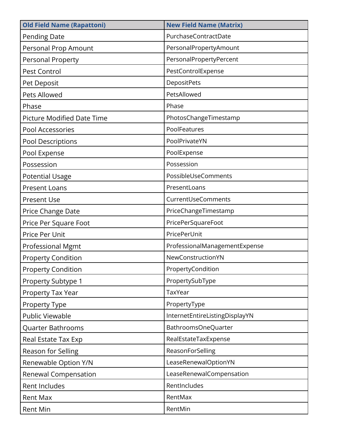| <b>Old Field Name (Rapattoni)</b> | <b>New Field Name (Matrix)</b> |
|-----------------------------------|--------------------------------|
| <b>Pending Date</b>               | PurchaseContractDate           |
| Personal Prop Amount              | PersonalPropertyAmount         |
| Personal Property                 | PersonalPropertyPercent        |
| Pest Control                      | PestControlExpense             |
| Pet Deposit                       | DepositPets                    |
| Pets Allowed                      | PetsAllowed                    |
| Phase                             | Phase                          |
| Picture Modified Date Time        | PhotosChangeTimestamp          |
| Pool Accessories                  | PoolFeatures                   |
| Pool Descriptions                 | PoolPrivateYN                  |
| Pool Expense                      | PoolExpense                    |
| Possession                        | Possession                     |
| <b>Potential Usage</b>            | PossibleUseComments            |
| <b>Present Loans</b>              | PresentLoans                   |
| <b>Present Use</b>                | CurrentUseComments             |
| Price Change Date                 | PriceChangeTimestamp           |
| Price Per Square Foot             | PricePerSquareFoot             |
| Price Per Unit                    | PricePerUnit                   |
| <b>Professional Mgmt</b>          | ProfessionalManagementExpense  |
| <b>Property Condition</b>         | NewConstructionYN              |
| <b>Property Condition</b>         | PropertyCondition              |
| Property Subtype 1                | PropertySubType                |
| Property Tax Year                 | TaxYear                        |
| Property Type                     | PropertyType                   |
| <b>Public Viewable</b>            | InternetEntireListingDisplayYN |
| Quarter Bathrooms                 | BathroomsOneQuarter            |
| Real Estate Tax Exp               | RealEstateTaxExpense           |
| Reason for Selling                | ReasonForSelling               |
| Renewable Option Y/N              | LeaseRenewalOptionYN           |
| <b>Renewal Compensation</b>       | LeaseRenewalCompensation       |
| <b>Rent Includes</b>              | RentIncludes                   |
| <b>Rent Max</b>                   | RentMax                        |
| <b>Rent Min</b>                   | RentMin                        |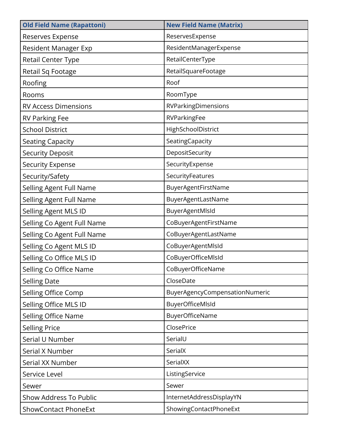| <b>Old Field Name (Rapattoni)</b> | <b>New Field Name (Matrix)</b> |
|-----------------------------------|--------------------------------|
| Reserves Expense                  | ReservesExpense                |
| Resident Manager Exp              | ResidentManagerExpense         |
| Retail Center Type                | RetailCenterType               |
| Retail Sq Footage                 | RetailSquareFootage            |
| Roofing                           | Roof                           |
| Rooms                             | RoomType                       |
| <b>RV Access Dimensions</b>       | RVParkingDimensions            |
| <b>RV Parking Fee</b>             | RVParkingFee                   |
| <b>School District</b>            | HighSchoolDistrict             |
| <b>Seating Capacity</b>           | SeatingCapacity                |
| <b>Security Deposit</b>           | DepositSecurity                |
| <b>Security Expense</b>           | SecurityExpense                |
| Security/Safety                   | SecurityFeatures               |
| Selling Agent Full Name           | BuyerAgentFirstName            |
| Selling Agent Full Name           | BuyerAgentLastName             |
| Selling Agent MLS ID              | BuyerAgentMIsId                |
| Selling Co Agent Full Name        | CoBuyerAgentFirstName          |
| Selling Co Agent Full Name        | CoBuyerAgentLastName           |
| Selling Co Agent MLS ID           | CoBuyerAgentMIsId              |
| Selling Co Office MLS ID          | CoBuyerOfficeMIsId             |
| Selling Co Office Name            | CoBuyerOfficeName              |
| <b>Selling Date</b>               | CloseDate                      |
| Selling Office Comp               | BuyerAgencyCompensationNumeric |
| Selling Office MLS ID             | BuyerOfficeMIsId               |
| Selling Office Name               | BuyerOfficeName                |
| <b>Selling Price</b>              | <b>ClosePrice</b>              |
| Serial U Number                   | SerialU                        |
| Serial X Number                   | SerialX                        |
| Serial XX Number                  | SerialXX                       |
| Service Level                     | ListingService                 |
| Sewer                             | Sewer                          |
| Show Address To Public            | InternetAddressDisplayYN       |
| <b>ShowContact PhoneExt</b>       | ShowingContactPhoneExt         |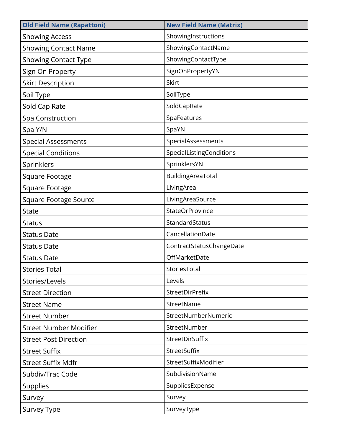| <b>Old Field Name (Rapattoni)</b> | <b>New Field Name (Matrix)</b> |
|-----------------------------------|--------------------------------|
| <b>Showing Access</b>             | ShowingInstructions            |
| <b>Showing Contact Name</b>       | ShowingContactName             |
| <b>Showing Contact Type</b>       | ShowingContactType             |
| Sign On Property                  | SignOnPropertyYN               |
| <b>Skirt Description</b>          | Skirt                          |
| Soil Type                         | SoilType                       |
| Sold Cap Rate                     | SoldCapRate                    |
| Spa Construction                  | SpaFeatures                    |
| Spa Y/N                           | SpaYN                          |
| <b>Special Assessments</b>        | SpecialAssessments             |
| <b>Special Conditions</b>         | SpecialListingConditions       |
| Sprinklers                        | SprinklersYN                   |
| Square Footage                    | BuildingAreaTotal              |
| Square Footage                    | LivingArea                     |
| <b>Square Footage Source</b>      | LivingAreaSource               |
| <b>State</b>                      | StateOrProvince                |
| <b>Status</b>                     | StandardStatus                 |
| <b>Status Date</b>                | CancellationDate               |
| <b>Status Date</b>                | ContractStatusChangeDate       |
| <b>Status Date</b>                | OffMarketDate                  |
| <b>Stories Total</b>              | StoriesTotal                   |
| Stories/Levels                    | Levels                         |
| <b>Street Direction</b>           | <b>StreetDirPrefix</b>         |
| <b>Street Name</b>                | StreetName                     |
| <b>Street Number</b>              | StreetNumberNumeric            |
| <b>Street Number Modifier</b>     | StreetNumber                   |
| <b>Street Post Direction</b>      | StreetDirSuffix                |
| <b>Street Suffix</b>              | StreetSuffix                   |
| <b>Street Suffix Mdfr</b>         | StreetSuffixModifier           |
| Subdiv/Trac Code                  | SubdivisionName                |
| <b>Supplies</b>                   | SuppliesExpense                |
| Survey                            | Survey                         |
| Survey Type                       | SurveyType                     |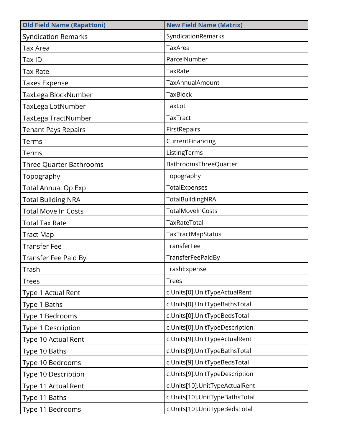| <b>Old Field Name (Rapattoni)</b> | <b>New Field Name (Matrix)</b> |
|-----------------------------------|--------------------------------|
| <b>Syndication Remarks</b>        | SyndicationRemarks             |
| <b>Tax Area</b>                   | TaxArea                        |
| Tax ID                            | ParcelNumber                   |
| <b>Tax Rate</b>                   | TaxRate                        |
| <b>Taxes Expense</b>              | TaxAnnualAmount                |
| TaxLegalBlockNumber               | <b>TaxBlock</b>                |
| TaxLegalLotNumber                 | TaxLot                         |
| TaxLegalTractNumber               | <b>TaxTract</b>                |
| <b>Tenant Pays Repairs</b>        | FirstRepairs                   |
| Terms                             | CurrentFinancing               |
| Terms                             | ListingTerms                   |
| <b>Three Quarter Bathrooms</b>    | BathroomsThreeQuarter          |
| Topography                        | Topography                     |
| <b>Total Annual Op Exp</b>        | TotalExpenses                  |
| <b>Total Building NRA</b>         | TotalBuildingNRA               |
| <b>Total Move In Costs</b>        | TotalMoveInCosts               |
| <b>Total Tax Rate</b>             | TaxRateTotal                   |
| <b>Tract Map</b>                  | TaxTractMapStatus              |
| <b>Transfer Fee</b>               | TransferFee                    |
| Transfer Fee Paid By              | TransferFeePaidBy              |
| Trash                             | TrashExpense                   |
| <b>Trees</b>                      | <b>Trees</b>                   |
| Type 1 Actual Rent                | c.Units[0].UnitTypeActualRent  |
| Type 1 Baths                      | c.Units[0].UnitTypeBathsTotal  |
| Type 1 Bedrooms                   | c.Units[0].UnitTypeBedsTotal   |
| Type 1 Description                | c.Units[0].UnitTypeDescription |
| Type 10 Actual Rent               | c.Units[9].UnitTypeActualRent  |
| Type 10 Baths                     | c.Units[9].UnitTypeBathsTotal  |
| Type 10 Bedrooms                  | c.Units[9].UnitTypeBedsTotal   |
| Type 10 Description               | c.Units[9].UnitTypeDescription |
| Type 11 Actual Rent               | c.Units[10].UnitTypeActualRent |
| Type 11 Baths                     | c.Units[10].UnitTypeBathsTotal |
| Type 11 Bedrooms                  | c.Units[10].UnitTypeBedsTotal  |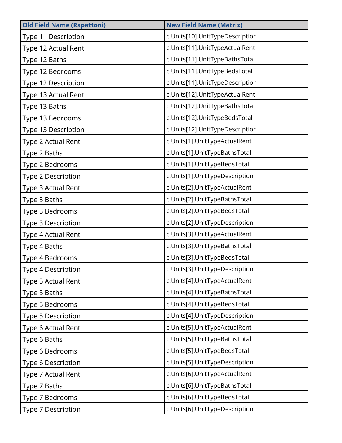| <b>Old Field Name (Rapattoni)</b> | <b>New Field Name (Matrix)</b>  |
|-----------------------------------|---------------------------------|
| Type 11 Description               | c.Units[10].UnitTypeDescription |
| Type 12 Actual Rent               | c.Units[11].UnitTypeActualRent  |
| Type 12 Baths                     | c.Units[11].UnitTypeBathsTotal  |
| Type 12 Bedrooms                  | c.Units[11].UnitTypeBedsTotal   |
| Type 12 Description               | c.Units[11].UnitTypeDescription |
| Type 13 Actual Rent               | c.Units[12].UnitTypeActualRent  |
| Type 13 Baths                     | c.Units[12].UnitTypeBathsTotal  |
| Type 13 Bedrooms                  | c.Units[12].UnitTypeBedsTotal   |
| Type 13 Description               | c.Units[12].UnitTypeDescription |
| Type 2 Actual Rent                | c.Units[1].UnitTypeActualRent   |
| Type 2 Baths                      | c.Units[1].UnitTypeBathsTotal   |
| Type 2 Bedrooms                   | c.Units[1].UnitTypeBedsTotal    |
| Type 2 Description                | c.Units[1].UnitTypeDescription  |
| Type 3 Actual Rent                | c.Units[2].UnitTypeActualRent   |
| Type 3 Baths                      | c.Units[2].UnitTypeBathsTotal   |
| Type 3 Bedrooms                   | c.Units[2].UnitTypeBedsTotal    |
| Type 3 Description                | c.Units[2].UnitTypeDescription  |
| Type 4 Actual Rent                | c.Units[3].UnitTypeActualRent   |
| Type 4 Baths                      | c.Units[3].UnitTypeBathsTotal   |
| Type 4 Bedrooms                   | c.Units[3].UnitTypeBedsTotal    |
| Type 4 Description                | c.Units[3].UnitTypeDescription  |
| Type 5 Actual Rent                | c.Units[4].UnitTypeActualRent   |
| Type 5 Baths                      | c.Units[4].UnitTypeBathsTotal   |
| Type 5 Bedrooms                   | c.Units[4].UnitTypeBedsTotal    |
| Type 5 Description                | c.Units[4].UnitTypeDescription  |
| Type 6 Actual Rent                | c.Units[5].UnitTypeActualRent   |
| Type 6 Baths                      | c.Units[5].UnitTypeBathsTotal   |
| Type 6 Bedrooms                   | c.Units[5].UnitTypeBedsTotal    |
| Type 6 Description                | c.Units[5].UnitTypeDescription  |
| Type 7 Actual Rent                | c.Units[6].UnitTypeActualRent   |
| Type 7 Baths                      | c.Units[6].UnitTypeBathsTotal   |
| Type 7 Bedrooms                   | c.Units[6].UnitTypeBedsTotal    |
| Type 7 Description                | c.Units[6].UnitTypeDescription  |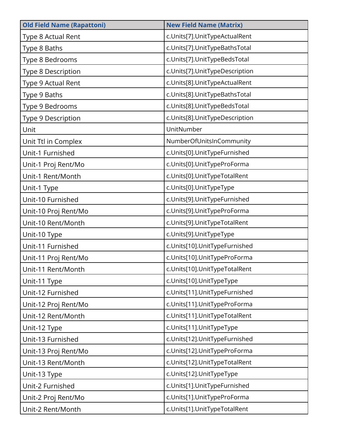| <b>Old Field Name (Rapattoni)</b> | <b>New Field Name (Matrix)</b> |
|-----------------------------------|--------------------------------|
| Type 8 Actual Rent                | c.Units[7].UnitTypeActualRent  |
| Type 8 Baths                      | c.Units[7].UnitTypeBathsTotal  |
| Type 8 Bedrooms                   | c.Units[7].UnitTypeBedsTotal   |
| Type 8 Description                | c.Units[7].UnitTypeDescription |
| Type 9 Actual Rent                | c.Units[8].UnitTypeActualRent  |
| Type 9 Baths                      | c.Units[8].UnitTypeBathsTotal  |
| Type 9 Bedrooms                   | c.Units[8].UnitTypeBedsTotal   |
| Type 9 Description                | c.Units[8].UnitTypeDescription |
| Unit                              | UnitNumber                     |
| Unit Ttl in Complex               | NumberOfUnitsInCommunity       |
| Unit-1 Furnished                  | c.Units[0].UnitTypeFurnished   |
| Unit-1 Proj Rent/Mo               | c.Units[0].UnitTypeProForma    |
| Unit-1 Rent/Month                 | c.Units[0].UnitTypeTotalRent   |
| Unit-1 Type                       | c.Units[0].UnitTypeType        |
| Unit-10 Furnished                 | c.Units[9].UnitTypeFurnished   |
| Unit-10 Proj Rent/Mo              | c.Units[9].UnitTypeProForma    |
| Unit-10 Rent/Month                | c.Units[9].UnitTypeTotalRent   |
| Unit-10 Type                      | c.Units[9].UnitTypeType        |
| Unit-11 Furnished                 | c.Units[10].UnitTypeFurnished  |
| Unit-11 Proj Rent/Mo              | c.Units[10].UnitTypeProForma   |
| Unit-11 Rent/Month                | c.Units[10].UnitTypeTotalRent  |
| Unit-11 Type                      | c.Units[10].UnitTypeType       |
| Unit-12 Furnished                 | c.Units[11].UnitTypeFurnished  |
| Unit-12 Proj Rent/Mo              | c.Units[11].UnitTypeProForma   |
| Unit-12 Rent/Month                | c.Units[11].UnitTypeTotalRent  |
| Unit-12 Type                      | c.Units[11].UnitTypeType       |
| Unit-13 Furnished                 | c.Units[12].UnitTypeFurnished  |
| Unit-13 Proj Rent/Mo              | c.Units[12].UnitTypeProForma   |
| Unit-13 Rent/Month                | c.Units[12].UnitTypeTotalRent  |
| Unit-13 Type                      | c.Units[12].UnitTypeType       |
| Unit-2 Furnished                  | c.Units[1].UnitTypeFurnished   |
| Unit-2 Proj Rent/Mo               | c.Units[1].UnitTypeProForma    |
| Unit-2 Rent/Month                 | c.Units[1].UnitTypeTotalRent   |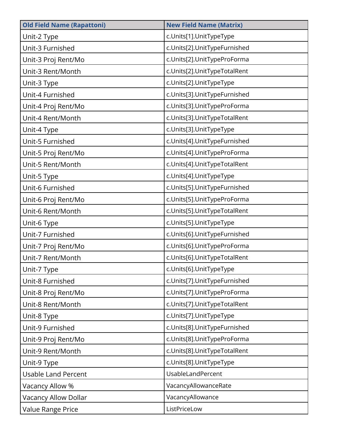| <b>Old Field Name (Rapattoni)</b> | <b>New Field Name (Matrix)</b> |
|-----------------------------------|--------------------------------|
| Unit-2 Type                       | c.Units[1].UnitTypeType        |
| Unit-3 Furnished                  | c.Units[2].UnitTypeFurnished   |
| Unit-3 Proj Rent/Mo               | c.Units[2].UnitTypeProForma    |
| Unit-3 Rent/Month                 | c.Units[2].UnitTypeTotalRent   |
| Unit-3 Type                       | c.Units[2].UnitTypeType        |
| Unit-4 Furnished                  | c.Units[3].UnitTypeFurnished   |
| Unit-4 Proj Rent/Mo               | c.Units[3].UnitTypeProForma    |
| Unit-4 Rent/Month                 | c.Units[3].UnitTypeTotalRent   |
| Unit-4 Type                       | c.Units[3].UnitTypeType        |
| Unit-5 Furnished                  | c.Units[4].UnitTypeFurnished   |
| Unit-5 Proj Rent/Mo               | c.Units[4].UnitTypeProForma    |
| Unit-5 Rent/Month                 | c.Units[4].UnitTypeTotalRent   |
| Unit-5 Type                       | c.Units[4].UnitTypeType        |
| Unit-6 Furnished                  | c.Units[5].UnitTypeFurnished   |
| Unit-6 Proj Rent/Mo               | c.Units[5].UnitTypeProForma    |
| Unit-6 Rent/Month                 | c.Units[5].UnitTypeTotalRent   |
| Unit-6 Type                       | c.Units[5].UnitTypeType        |
| Unit-7 Furnished                  | c.Units[6].UnitTypeFurnished   |
| Unit-7 Proj Rent/Mo               | c.Units[6].UnitTypeProForma    |
| Unit-7 Rent/Month                 | c.Units[6].UnitTypeTotalRent   |
| Unit-7 Type                       | c.Units[6].UnitTypeType        |
| Unit-8 Furnished                  | c.Units[7].UnitTypeFurnished   |
| Unit-8 Proj Rent/Mo               | c.Units[7].UnitTypeProForma    |
| Unit-8 Rent/Month                 | c.Units[7].UnitTypeTotalRent   |
| Unit-8 Type                       | c.Units[7].UnitTypeType        |
| Unit-9 Furnished                  | c.Units[8].UnitTypeFurnished   |
| Unit-9 Proj Rent/Mo               | c.Units[8].UnitTypeProForma    |
| Unit-9 Rent/Month                 | c.Units[8].UnitTypeTotalRent   |
| Unit-9 Type                       | c.Units[8].UnitTypeType        |
| <b>Usable Land Percent</b>        | UsableLandPercent              |
| Vacancy Allow %                   | VacancyAllowanceRate           |
| Vacancy Allow Dollar              | VacancyAllowance               |
| Value Range Price                 | ListPriceLow                   |